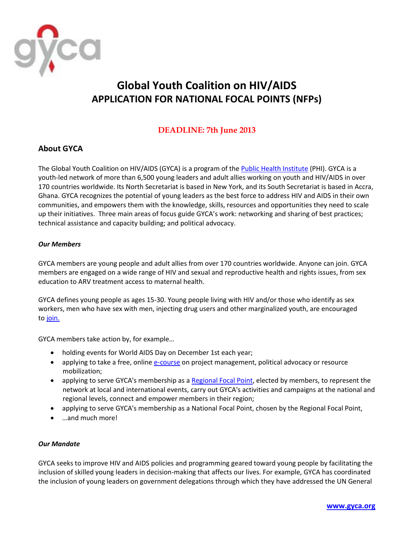

# **Global Youth Coalition on HIV/AIDS APPLICATION FOR NATIONAL FOCAL POINTS (NFPs)**

# **DEADLINE: 7th June 2013**

## **About GYCA**

The Global Youth Coalition on HIV/AIDS (GYCA) is a program of th[e Public Health Institute](http://phi.org/) (PHI). GYCA is a youth-led network of more than 6,500 young leaders and adult allies working on youth and HIV/AIDS in over 170 countries worldwide. Its North Secretariat is based in New York, and its South Secretariat is based in Accra, Ghana. GYCA recognizes the potential of young leaders as the best force to address HIV and AIDS in their own communities, and empowers them with the knowledge, skills, resources and opportunities they need to scale up their initiatives. Three main areas of focus guide GYCA's work: networking and sharing of best practices; technical assistance and capacity building; and political advocacy.

## *Our Members*

GYCA members are young people and adult allies from over 170 countries worldwide. Anyone can join. GYCA members are engaged on a wide range of HIV and sexual and reproductive health and rights issues, from sex education to ARV treatment access to maternal health.

GYCA defines young people as ages 15-30. Young people living with HIV and/or those who identify as sex workers, men who have sex with men, injecting drug users and other marginalized youth, are encouraged to [join.](http://gyca.tigweb.org/getinvolved/join.html)

GYCA members take action by, for example…

- holding events for World AIDS Day on December 1st each year;
- applying to take a free, online [e-course](http://gyca.tigweb.org/ecourses/) on project management, political advocacy or resource mobilization;
- applying to serve GYCA's membership as a [Regional Focal](http://gyca.tigweb.org/focalpoints/) Point, elected by members, to represent the network at local and international events, carry out GYCA's activities and campaigns at the national and regional levels, connect and empower members in their region;
- applying to serve GYCA's membership as a National Focal Point, chosen by the Regional Focal Point,
- …and much more!

#### *Our Mandate*

GYCA seeks to improve HIV and AIDS policies and programming geared toward young people by facilitating the inclusion of skilled young leaders in decision-making that affects our lives. For example, GYCA has coordinated the inclusion of young leaders on government delegations through which they have addressed the UN General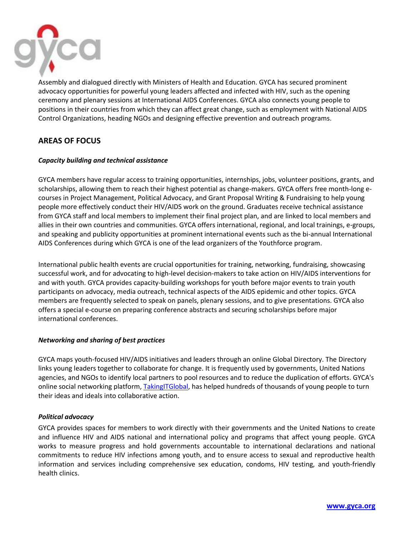

Assembly and dialogued directly with Ministers of Health and Education. GYCA has secured prominent advocacy opportunities for powerful young leaders affected and infected with HIV, such as the opening ceremony and plenary sessions at International AIDS Conferences. GYCA also connects young people to positions in their countries from which they can affect great change, such as employment with National AIDS Control Organizations, heading NGOs and designing effective prevention and outreach programs.

## **AREAS OF FOCUS**

#### *Capacity building and technical assistance*

GYCA members have regular access to training opportunities, internships, jobs, volunteer positions, grants, and scholarships, allowing them to reach their highest potential as change-makers. GYCA offers free month-long ecourses in Project Management, Political Advocacy, and Grant Proposal Writing & Fundraising to help young people more effectively conduct their HIV/AIDS work on the ground. Graduates receive technical assistance from GYCA staff and local members to implement their final project plan, and are linked to local members and allies in their own countries and communities. GYCA offers international, regional, and local trainings, e-groups, and speaking and publicity opportunities at prominent international events such as the bi-annual International AIDS Conferences during which GYCA is one of the lead organizers of the Youthforce program.

International public health events are crucial opportunities for training, networking, fundraising, showcasing successful work, and for advocating to high-level decision-makers to take action on HIV/AIDS interventions for and with youth. GYCA provides capacity-building workshops for youth before major events to train youth participants on advocacy, media outreach, technical aspects of the AIDS epidemic and other topics. GYCA members are frequently selected to speak on panels, plenary sessions, and to give presentations. GYCA also offers a special e-course on preparing conference abstracts and securing scholarships before major international conferences.

#### *Networking and sharing of best practices*

GYCA maps youth-focused HIV/AIDS initiatives and leaders through an online Global Directory. The Directory links young leaders together to collaborate for change. It is frequently used by governments, United Nations agencies, and NGOs to identify local partners to pool resources and to reduce the duplication of efforts. GYCA's online social networking platform, [TakingITGlobal,](http://www.tigweb.org/) has helped hundreds of thousands of young people to turn their ideas and ideals into collaborative action.

#### *Political advocacy*

GYCA provides spaces for members to work directly with their governments and the United Nations to create and influence HIV and AIDS national and international policy and programs that affect young people. GYCA works to measure progress and hold governments accountable to international declarations and national commitments to reduce HIV infections among youth, and to ensure access to sexual and reproductive health information and services including comprehensive sex education, condoms, HIV testing, and youth-friendly health clinics.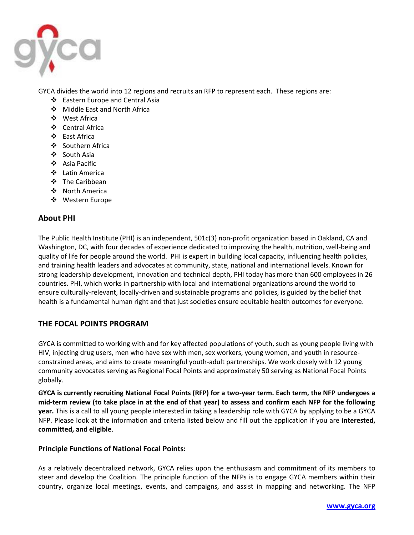

GYCA divides the world into 12 regions and recruits an RFP to represent each. These regions are:

- Eastern Europe and Central Asia
- Middle East and North Africa
- West Africa
- Central Africa
- East Africa
- ❖ Southern Africa
- ❖ South Asia
- Asia Pacific
- Latin America
- The Caribbean
- North America
- Western Europe

## **About PHI**

The Public Health Institute (PHI) is an independent, 501c(3) non-profit organization based in Oakland, CA and Washington, DC, with four decades of experience dedicated to improving the health, nutrition, well-being and quality of life for people around the world. PHI is expert in building local capacity, influencing health policies, and training health leaders and advocates at community, state, national and international levels. Known for strong leadership development, innovation and technical depth, PHI today has more than 600 employees in 26 countries. PHI, which works in partnership with local and international organizations around the world to ensure culturally-relevant, locally-driven and sustainable programs and policies, is guided by the belief that health is a fundamental human right and that just societies ensure equitable health outcomes for everyone.

## **THE FOCAL POINTS PROGRAM**

GYCA is committed to working with and for key affected populations of youth, such as young people living with HIV, injecting drug users, men who have sex with men, sex workers, young women, and youth in resourceconstrained areas, and aims to create meaningful youth-adult partnerships. We work closely with 12 young community advocates serving as Regional Focal Points and approximately 50 serving as National Focal Points globally.

**GYCA is currently recruiting National Focal Points (RFP) for a two-year term. Each term, the NFP undergoes a mid-term review (to take place in at the end of that year) to assess and confirm each NFP for the following year.** This is a call to all young people interested in taking a leadership role with GYCA by applying to be a GYCA NFP. Please look at the information and criteria listed below and fill out the application if you are **interested, committed, and eligible**.

#### **Principle Functions of National Focal Points:**

As a relatively decentralized network, GYCA relies upon the enthusiasm and commitment of its members to steer and develop the Coalition. The principle function of the NFPs is to engage GYCA members within their country, organize local meetings, events, and campaigns, and assist in mapping and networking. The NFP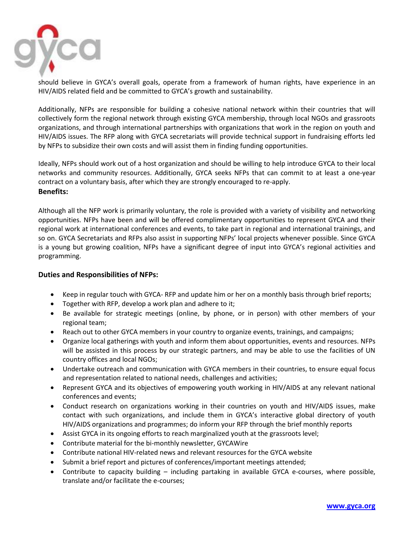

should believe in GYCA's overall goals, operate from a framework of human rights, have experience in an HIV/AIDS related field and be committed to GYCA's growth and sustainability.

Additionally, NFPs are responsible for building a cohesive national network within their countries that will collectively form the regional network through existing GYCA membership, through local NGOs and grassroots organizations, and through international partnerships with organizations that work in the region on youth and HIV/AIDS issues. The RFP along with GYCA secretariats will provide technical support in fundraising efforts led by NFPs to subsidize their own costs and will assist them in finding funding opportunities.

Ideally, NFPs should work out of a host organization and should be willing to help introduce GYCA to their local networks and community resources. Additionally, GYCA seeks NFPs that can commit to at least a one-year contract on a voluntary basis, after which they are strongly encouraged to re-apply. **Benefits:**

Although all the NFP work is primarily voluntary, the role is provided with a variety of visibility and networking opportunities. NFPs have been and will be offered complimentary opportunities to represent GYCA and their regional work at international conferences and events, to take part in regional and international trainings, and so on. GYCA Secretariats and RFPs also assist in supporting NFPs' local projects whenever possible. Since GYCA is a young but growing coalition, NFPs have a significant degree of input into GYCA's regional activities and programming.

#### **Duties and Responsibilities of NFPs:**

- Keep in regular touch with GYCA- RFP and update him or her on a monthly basis through brief reports;
- Together with RFP, develop a work plan and adhere to it;
- Be available for strategic meetings (online, by phone, or in person) with other members of your regional team;
- Reach out to other GYCA members in your country to organize events, trainings, and campaigns;
- Organize local gatherings with youth and inform them about opportunities, events and resources. NFPs will be assisted in this process by our strategic partners, and may be able to use the facilities of UN country offices and local NGOs;
- Undertake outreach and communication with GYCA members in their countries, to ensure equal focus and representation related to national needs, challenges and activities;
- Represent GYCA and its objectives of empowering youth working in HIV/AIDS at any relevant national conferences and events;
- Conduct research on organizations working in their countries on youth and HIV/AIDS issues, make contact with such organizations, and include them in GYCA's interactive global directory of youth HIV/AIDS organizations and programmes; do inform your RFP through the brief monthly reports
- Assist GYCA in its ongoing efforts to reach marginalized youth at the grassroots level;
- Contribute material for the bi-monthly newsletter, GYCAWire
- Contribute national HIV-related news and relevant resources for the GYCA website
- Submit a brief report and pictures of conferences/important meetings attended;
- Contribute to capacity building including partaking in available GYCA e-courses, where possible, translate and/or facilitate the e-courses;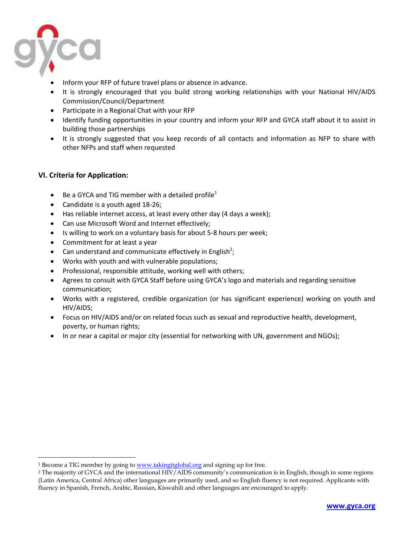

 $\overline{a}$ 

- Inform your RFP of future travel plans or absence in advance.
- It is strongly encouraged that you build strong working relationships with your National HIV/AIDS Commission/Council/Department
- Participate in a Regional Chat with your RFP
- Identify funding opportunities in your country and inform your RFP and GYCA staff about it to assist in building those partnerships
- It is strongly suggested that you keep records of all contacts and information as NFP to share with other NFPs and staff when requested

## **VI. Criteria for Application:**

- $\bullet$  Be a GYCA and TIG member with a detailed profile<sup>1</sup>
- Candidate is a youth aged 18-26;
- Has reliable internet access, at least every other day (4 days a week);
- Can use Microsoft Word and Internet effectively;
- Is willing to work on a voluntary basis for about 5-8 hours per week;
- Commitment for at least a year
- Can understand and communicate effectively in English<sup>2</sup>;
- Works with youth and with vulnerable populations;
- Professional, responsible attitude, working well with others;
- Agrees to consult with GYCA Staff before using GYCA's logo and materials and regarding sensitive communication;
- Works with a registered, credible organization (or has significant experience) working on youth and HIV/AIDS;
- Focus on HIV/AIDS and/or on related focus such as sexual and reproductive health, development, poverty, or human rights;
- In or near a capital or major city (essential for networking with UN, government and NGOs);

<sup>&</sup>lt;sup>1</sup> Become a TIG member by going to [www.takingitglobal.org](http://www.takingitglobal.org/) and signing up for free.

<sup>2</sup> The majority of GYCA and the international HIV/AIDS community's communication is in English, though in some regions (Latin America, Central Africa) other languages are primarily used, and so English fluency is not required. Applicants with fluency in Spanish, French, Arabic, Russian, Kiswahili and other languages are encouraged to apply.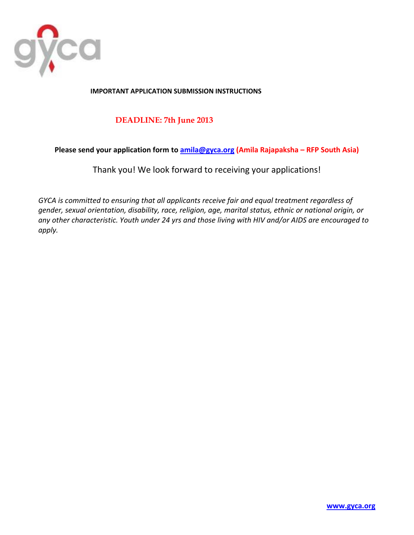

## **IMPORTANT APPLICATION SUBMISSION INSTRUCTIONS**

## **DEADLINE: 7th June 2013**

## **Please send your application form to [amila@gyca.org](mailto:amila@gyca.org) (Amila Rajapaksha – RFP South Asia)**

Thank you! We look forward to receiving your applications!

*GYCA is committed to ensuring that all applicants receive fair and equal treatment regardless of gender, sexual orientation, disability, race, religion, age, marital status, ethnic or national origin, or any other characteristic. Youth under 24 yrs and those living with HIV and/or AIDS are encouraged to apply.*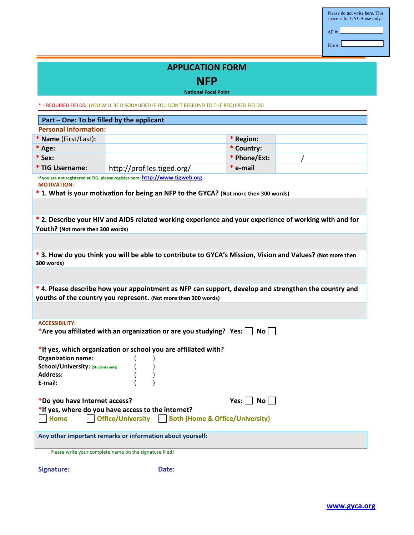| Please do not write here. This<br>space is for GYCA use only. |
|---------------------------------------------------------------|
| AF#:                                                          |
| File $\#$                                                     |

# **APPLICATION FORM**

**NFP**

**National Focal Point**

\* = REQUIRED FIELDS: (YOU WILL BE DISQUALIFIED IF YOU DON'T RESPOND TO THE REQUIRED FIELDS)

| Part - One: To be filled by the applicant                                                                                                                             |                                                                                                           |                       |  |  |
|-----------------------------------------------------------------------------------------------------------------------------------------------------------------------|-----------------------------------------------------------------------------------------------------------|-----------------------|--|--|
| <b>Personal Information:</b>                                                                                                                                          |                                                                                                           |                       |  |  |
| * Name (First/Last):                                                                                                                                                  |                                                                                                           | * Region:             |  |  |
| * Age:                                                                                                                                                                |                                                                                                           | * Country:            |  |  |
| $*$ Sex:                                                                                                                                                              |                                                                                                           | * Phone/Ext:          |  |  |
| * TIG Username:                                                                                                                                                       | http://profiles.tiged.org/                                                                                | * e-mail              |  |  |
| <b>MOTIVATION:</b>                                                                                                                                                    | If you are not registered at TIG, please register here: http://www.tigweb.org                             |                       |  |  |
|                                                                                                                                                                       | * 1. What is your motivation for being an NFP to the GYCA? (Not more then 300 words)                      |                       |  |  |
|                                                                                                                                                                       |                                                                                                           |                       |  |  |
| Youth? (Not more then 300 words)                                                                                                                                      | * 2. Describe your HIV and AIDS related working experience and your experience of working with and for    |                       |  |  |
| 300 words)                                                                                                                                                            | * 3. How do you think you will be able to contribute to GYCA's Mission, Vision and Values? (Not more then |                       |  |  |
|                                                                                                                                                                       |                                                                                                           |                       |  |  |
| *4. Please describe how your appointment as NFP can support, develop and strengthen the country and<br>youths of the country you represent. (Not more then 300 words) |                                                                                                           |                       |  |  |
|                                                                                                                                                                       |                                                                                                           |                       |  |  |
| <b>ACCESSIBILITY:</b><br>*Are you affiliated with an organization or are you studying? Yes: $\Box$<br>No II                                                           |                                                                                                           |                       |  |  |
|                                                                                                                                                                       | *If yes, which organization or school you are affiliated with?                                            |                       |  |  |
| <b>Organization name:</b>                                                                                                                                             |                                                                                                           |                       |  |  |
| School/University: (Students only)                                                                                                                                    |                                                                                                           |                       |  |  |
| <b>Address:</b>                                                                                                                                                       |                                                                                                           |                       |  |  |
| E-mail:                                                                                                                                                               |                                                                                                           |                       |  |  |
| *Do you have Internet access?                                                                                                                                         |                                                                                                           | Yes: $\Box$ No $\Box$ |  |  |
| *If yes, where do you have access to the internet?                                                                                                                    |                                                                                                           |                       |  |  |
| Office/University Both (Home & Office/University)<br><b>Home</b>                                                                                                      |                                                                                                           |                       |  |  |
| Any other important remarks or information about yourself:<br>Please write your complete name on the signature filed!                                                 |                                                                                                           |                       |  |  |
|                                                                                                                                                                       |                                                                                                           |                       |  |  |

**Signature: Date: Date:**